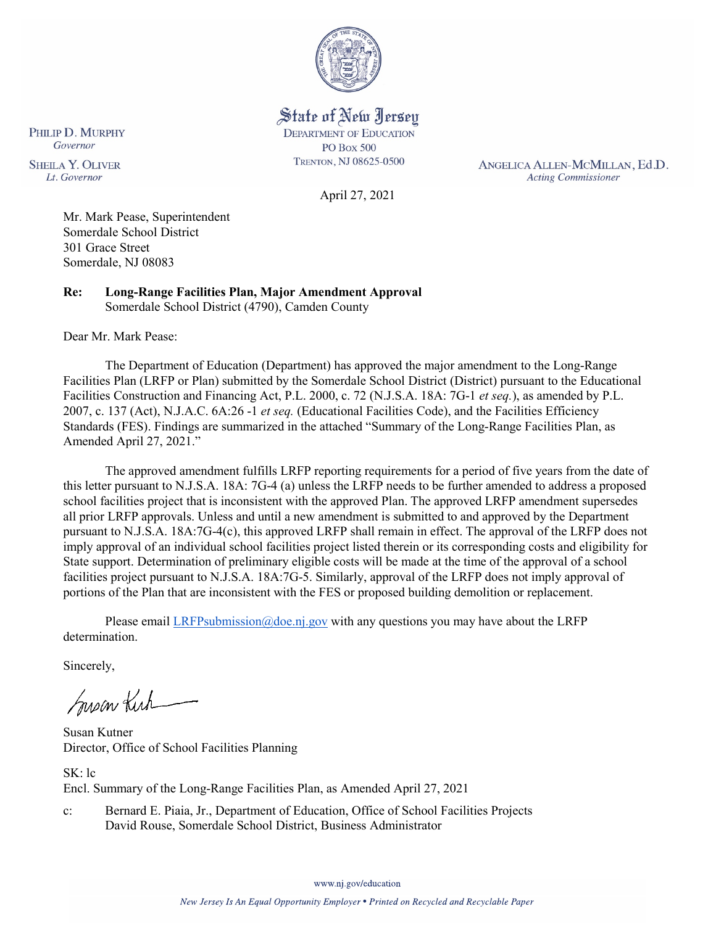

State of New Jersey **DEPARTMENT OF EDUCATION PO Box 500** TRENTON, NJ 08625-0500

April 27, 2021

ANGELICA ALLEN-MCMILLAN, Ed.D. **Acting Commissioner** 

Mr. Mark Pease, Superintendent Somerdale School District 301 Grace Street Somerdale, NJ 08083

**Re: Long-Range Facilities Plan, Major Amendment Approval**  Somerdale School District (4790), Camden County

Dear Mr. Mark Pease:

PHILIP D. MURPHY Governor

**SHEILA Y. OLIVER** 

Lt. Governor

The Department of Education (Department) has approved the major amendment to the Long-Range Facilities Plan (LRFP or Plan) submitted by the Somerdale School District (District) pursuant to the Educational Facilities Construction and Financing Act, P.L. 2000, c. 72 (N.J.S.A. 18A: 7G-1 *et seq.*), as amended by P.L. 2007, c. 137 (Act), N.J.A.C. 6A:26 -1 *et seq.* (Educational Facilities Code), and the Facilities Efficiency Standards (FES). Findings are summarized in the attached "Summary of the Long-Range Facilities Plan, as Amended April 27, 2021."

The approved amendment fulfills LRFP reporting requirements for a period of five years from the date of this letter pursuant to N.J.S.A. 18A: 7G-4 (a) unless the LRFP needs to be further amended to address a proposed school facilities project that is inconsistent with the approved Plan. The approved LRFP amendment supersedes all prior LRFP approvals. Unless and until a new amendment is submitted to and approved by the Department pursuant to N.J.S.A. 18A:7G-4(c), this approved LRFP shall remain in effect. The approval of the LRFP does not imply approval of an individual school facilities project listed therein or its corresponding costs and eligibility for State support. Determination of preliminary eligible costs will be made at the time of the approval of a school facilities project pursuant to N.J.S.A. 18A:7G-5. Similarly, approval of the LRFP does not imply approval of portions of the Plan that are inconsistent with the FES or proposed building demolition or replacement.

Please email [LRFPsubmission@doe.nj.gov](mailto:LRFPsubmission@doe.nj.gov) with any questions you may have about the LRFP determination.

Sincerely,

Susan Kich

Susan Kutner Director, Office of School Facilities Planning

SK: lc Encl. Summary of the Long-Range Facilities Plan, as Amended April 27, 2021

c: Bernard E. Piaia, Jr., Department of Education, Office of School Facilities Projects David Rouse, Somerdale School District, Business Administrator

www.nj.gov/education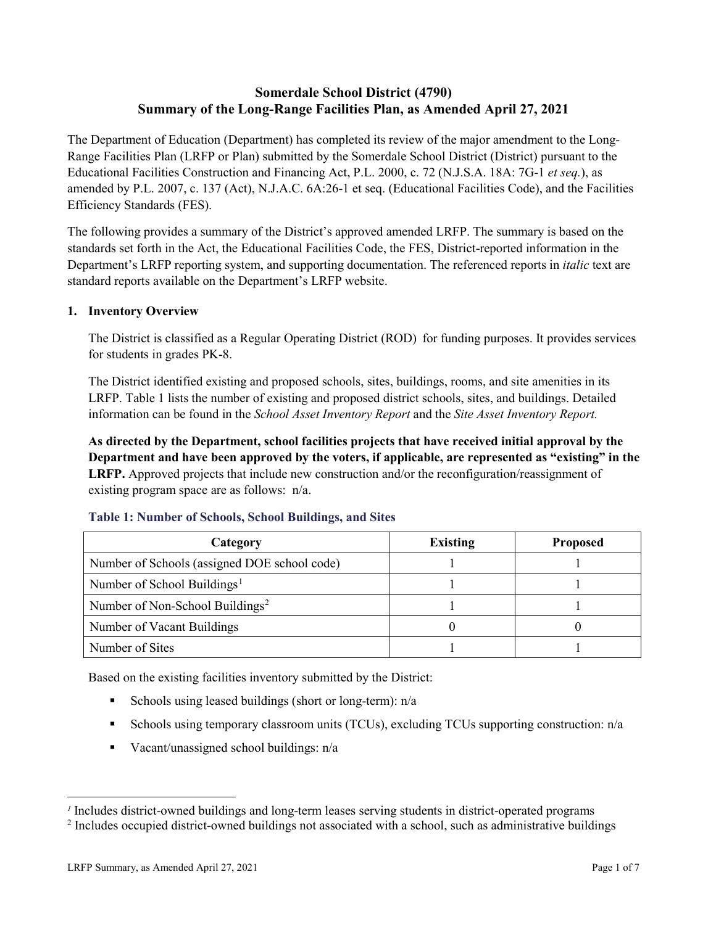## **Somerdale School District (4790) Summary of the Long-Range Facilities Plan, as Amended April 27, 2021**

The Department of Education (Department) has completed its review of the major amendment to the Long-Range Facilities Plan (LRFP or Plan) submitted by the Somerdale School District (District) pursuant to the Educational Facilities Construction and Financing Act, P.L. 2000, c. 72 (N.J.S.A. 18A: 7G-1 *et seq.*), as amended by P.L. 2007, c. 137 (Act), N.J.A.C. 6A:26-1 et seq. (Educational Facilities Code), and the Facilities Efficiency Standards (FES).

The following provides a summary of the District's approved amended LRFP. The summary is based on the standards set forth in the Act, the Educational Facilities Code, the FES, District-reported information in the Department's LRFP reporting system, and supporting documentation. The referenced reports in *italic* text are standard reports available on the Department's LRFP website.

### **1. Inventory Overview**

The District is classified as a Regular Operating District (ROD) for funding purposes. It provides services for students in grades PK-8.

The District identified existing and proposed schools, sites, buildings, rooms, and site amenities in its LRFP. Table 1 lists the number of existing and proposed district schools, sites, and buildings. Detailed information can be found in the *School Asset Inventory Report* and the *Site Asset Inventory Report.*

**As directed by the Department, school facilities projects that have received initial approval by the Department and have been approved by the voters, if applicable, are represented as "existing" in the LRFP.** Approved projects that include new construction and/or the reconfiguration/reassignment of existing program space are as follows: n/a.

| Category                                     | <b>Existing</b> | <b>Proposed</b> |
|----------------------------------------------|-----------------|-----------------|
| Number of Schools (assigned DOE school code) |                 |                 |
| Number of School Buildings <sup>1</sup>      |                 |                 |
| Number of Non-School Buildings <sup>2</sup>  |                 |                 |
| Number of Vacant Buildings                   |                 |                 |
| Number of Sites                              |                 |                 |

#### **Table 1: Number of Schools, School Buildings, and Sites**

Based on the existing facilities inventory submitted by the District:

- Schools using leased buildings (short or long-term):  $n/a$
- Schools using temporary classroom units (TCUs), excluding TCUs supporting construction: n/a
- Vacant/unassigned school buildings:  $n/a$

 $\overline{a}$ 

<span id="page-1-1"></span><span id="page-1-0"></span>*<sup>1</sup>* Includes district-owned buildings and long-term leases serving students in district-operated programs

<sup>&</sup>lt;sup>2</sup> Includes occupied district-owned buildings not associated with a school, such as administrative buildings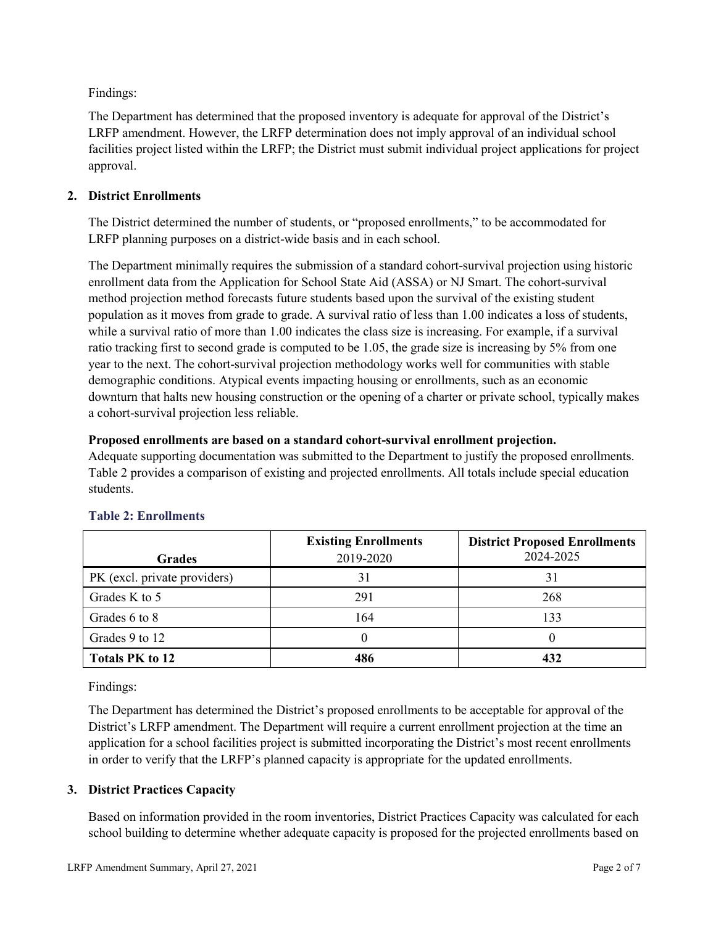Findings:

The Department has determined that the proposed inventory is adequate for approval of the District's LRFP amendment. However, the LRFP determination does not imply approval of an individual school facilities project listed within the LRFP; the District must submit individual project applications for project approval.

## **2. District Enrollments**

The District determined the number of students, or "proposed enrollments," to be accommodated for LRFP planning purposes on a district-wide basis and in each school.

The Department minimally requires the submission of a standard cohort-survival projection using historic enrollment data from the Application for School State Aid (ASSA) or NJ Smart. The cohort-survival method projection method forecasts future students based upon the survival of the existing student population as it moves from grade to grade. A survival ratio of less than 1.00 indicates a loss of students, while a survival ratio of more than 1.00 indicates the class size is increasing. For example, if a survival ratio tracking first to second grade is computed to be 1.05, the grade size is increasing by 5% from one year to the next. The cohort-survival projection methodology works well for communities with stable demographic conditions. Atypical events impacting housing or enrollments, such as an economic downturn that halts new housing construction or the opening of a charter or private school, typically makes a cohort-survival projection less reliable.

### **Proposed enrollments are based on a standard cohort-survival enrollment projection.**

Adequate supporting documentation was submitted to the Department to justify the proposed enrollments. Table 2 provides a comparison of existing and projected enrollments. All totals include special education students.

|                              | <b>Existing Enrollments</b> | <b>District Proposed Enrollments</b> |
|------------------------------|-----------------------------|--------------------------------------|
| <b>Grades</b>                | 2019-2020                   | 2024-2025                            |
| PK (excl. private providers) |                             | 31                                   |
| Grades K to 5                | 291                         | 268                                  |
| Grades 6 to 8                | 164                         | 133                                  |
| Grades 9 to 12               |                             |                                      |
| <b>Totals PK to 12</b>       | 486                         | 432                                  |

# **Table 2: Enrollments**

Findings:

The Department has determined the District's proposed enrollments to be acceptable for approval of the District's LRFP amendment. The Department will require a current enrollment projection at the time an application for a school facilities project is submitted incorporating the District's most recent enrollments in order to verify that the LRFP's planned capacity is appropriate for the updated enrollments.

# **3. District Practices Capacity**

Based on information provided in the room inventories, District Practices Capacity was calculated for each school building to determine whether adequate capacity is proposed for the projected enrollments based on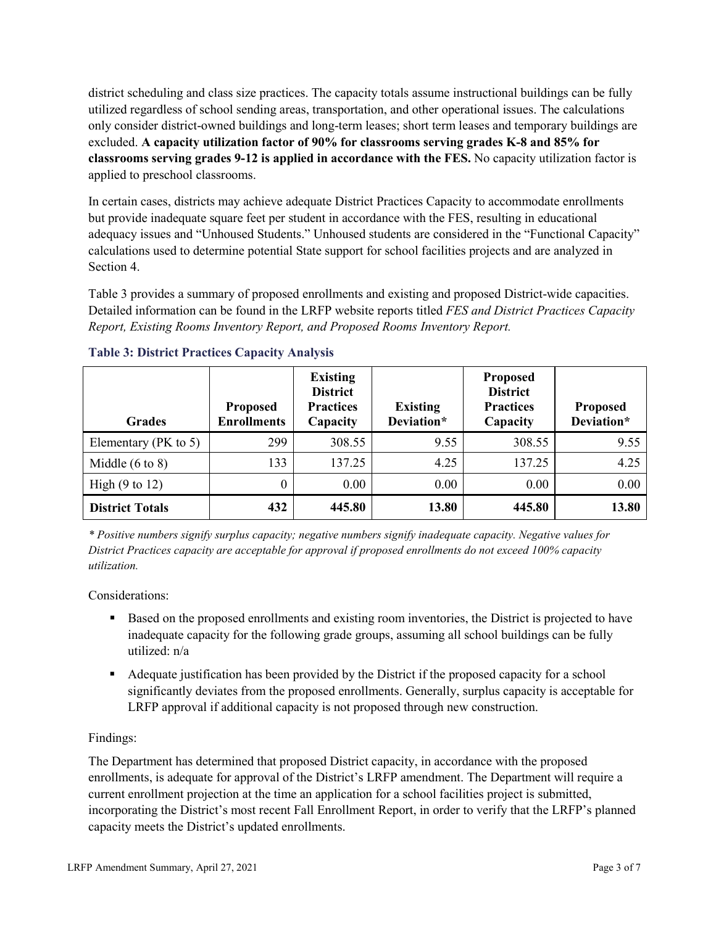district scheduling and class size practices. The capacity totals assume instructional buildings can be fully utilized regardless of school sending areas, transportation, and other operational issues. The calculations only consider district-owned buildings and long-term leases; short term leases and temporary buildings are excluded. **A capacity utilization factor of 90% for classrooms serving grades K-8 and 85% for classrooms serving grades 9-12 is applied in accordance with the FES.** No capacity utilization factor is applied to preschool classrooms.

In certain cases, districts may achieve adequate District Practices Capacity to accommodate enrollments but provide inadequate square feet per student in accordance with the FES, resulting in educational adequacy issues and "Unhoused Students." Unhoused students are considered in the "Functional Capacity" calculations used to determine potential State support for school facilities projects and are analyzed in Section 4.

Table 3 provides a summary of proposed enrollments and existing and proposed District-wide capacities. Detailed information can be found in the LRFP website reports titled *FES and District Practices Capacity Report, Existing Rooms Inventory Report, and Proposed Rooms Inventory Report.*

| <b>Grades</b>              | <b>Proposed</b><br><b>Enrollments</b> | <b>Existing</b><br><b>District</b><br><b>Practices</b><br>Capacity | <b>Existing</b><br>Deviation* | <b>Proposed</b><br><b>District</b><br><b>Practices</b><br>Capacity | <b>Proposed</b><br>Deviation* |
|----------------------------|---------------------------------------|--------------------------------------------------------------------|-------------------------------|--------------------------------------------------------------------|-------------------------------|
| Elementary ( $PK$ to 5)    | 299                                   | 308.55                                                             | 9.55                          | 308.55                                                             | 9.55                          |
| Middle $(6 \text{ to } 8)$ | 133                                   | 137.25                                                             | 4.25                          | 137.25                                                             | 4.25                          |
| High $(9 \text{ to } 12)$  | 0                                     | 0.00                                                               | 0.00                          | 0.00                                                               | 0.00                          |
| <b>District Totals</b>     | 432                                   | 445.80                                                             | 13.80                         | 445.80                                                             | 13.80                         |

### **Table 3: District Practices Capacity Analysis**

*\* Positive numbers signify surplus capacity; negative numbers signify inadequate capacity. Negative values for District Practices capacity are acceptable for approval if proposed enrollments do not exceed 100% capacity utilization.*

Considerations:

- Based on the proposed enrollments and existing room inventories, the District is projected to have inadequate capacity for the following grade groups, assuming all school buildings can be fully utilized: n/a
- Adequate justification has been provided by the District if the proposed capacity for a school significantly deviates from the proposed enrollments. Generally, surplus capacity is acceptable for LRFP approval if additional capacity is not proposed through new construction.

### Findings:

The Department has determined that proposed District capacity, in accordance with the proposed enrollments, is adequate for approval of the District's LRFP amendment. The Department will require a current enrollment projection at the time an application for a school facilities project is submitted, incorporating the District's most recent Fall Enrollment Report, in order to verify that the LRFP's planned capacity meets the District's updated enrollments.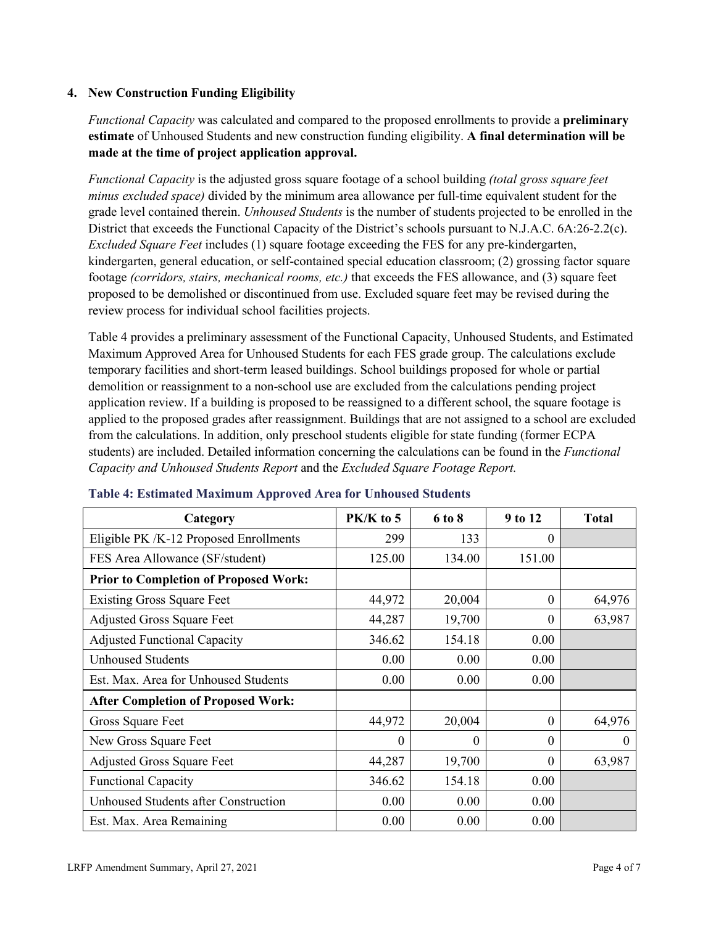### **4. New Construction Funding Eligibility**

*Functional Capacity* was calculated and compared to the proposed enrollments to provide a **preliminary estimate** of Unhoused Students and new construction funding eligibility. **A final determination will be made at the time of project application approval.**

*Functional Capacity* is the adjusted gross square footage of a school building *(total gross square feet minus excluded space)* divided by the minimum area allowance per full-time equivalent student for the grade level contained therein. *Unhoused Students* is the number of students projected to be enrolled in the District that exceeds the Functional Capacity of the District's schools pursuant to N.J.A.C. 6A:26-2.2(c). *Excluded Square Feet* includes (1) square footage exceeding the FES for any pre-kindergarten, kindergarten, general education, or self-contained special education classroom; (2) grossing factor square footage *(corridors, stairs, mechanical rooms, etc.)* that exceeds the FES allowance, and (3) square feet proposed to be demolished or discontinued from use. Excluded square feet may be revised during the review process for individual school facilities projects.

Table 4 provides a preliminary assessment of the Functional Capacity, Unhoused Students, and Estimated Maximum Approved Area for Unhoused Students for each FES grade group. The calculations exclude temporary facilities and short-term leased buildings. School buildings proposed for whole or partial demolition or reassignment to a non-school use are excluded from the calculations pending project application review. If a building is proposed to be reassigned to a different school, the square footage is applied to the proposed grades after reassignment. Buildings that are not assigned to a school are excluded from the calculations. In addition, only preschool students eligible for state funding (former ECPA students) are included. Detailed information concerning the calculations can be found in the *Functional Capacity and Unhoused Students Report* and the *Excluded Square Footage Report.*

| Category                                     | $PK/K$ to 5 | 6 to 8   | 9 to 12  | <b>Total</b> |
|----------------------------------------------|-------------|----------|----------|--------------|
| Eligible PK /K-12 Proposed Enrollments       | 299         | 133      | 0        |              |
| FES Area Allowance (SF/student)              | 125.00      | 134.00   | 151.00   |              |
| <b>Prior to Completion of Proposed Work:</b> |             |          |          |              |
| <b>Existing Gross Square Feet</b>            | 44,972      | 20,004   | $\theta$ | 64,976       |
| <b>Adjusted Gross Square Feet</b>            | 44,287      | 19,700   | $\theta$ | 63,987       |
| <b>Adjusted Functional Capacity</b>          | 346.62      | 154.18   | 0.00     |              |
| <b>Unhoused Students</b>                     | 0.00        | 0.00     | 0.00     |              |
| Est. Max. Area for Unhoused Students         | 0.00        | 0.00     | 0.00     |              |
| <b>After Completion of Proposed Work:</b>    |             |          |          |              |
| Gross Square Feet                            | 44,972      | 20,004   | $\theta$ | 64,976       |
| New Gross Square Feet                        | $\theta$    | $\theta$ | $\theta$ | $\theta$     |
| <b>Adjusted Gross Square Feet</b>            | 44,287      | 19,700   | $\Omega$ | 63,987       |
| <b>Functional Capacity</b>                   | 346.62      | 154.18   | 0.00     |              |
| <b>Unhoused Students after Construction</b>  | 0.00        | 0.00     | 0.00     |              |
| Est. Max. Area Remaining                     | 0.00        | 0.00     | 0.00     |              |

#### **Table 4: Estimated Maximum Approved Area for Unhoused Students**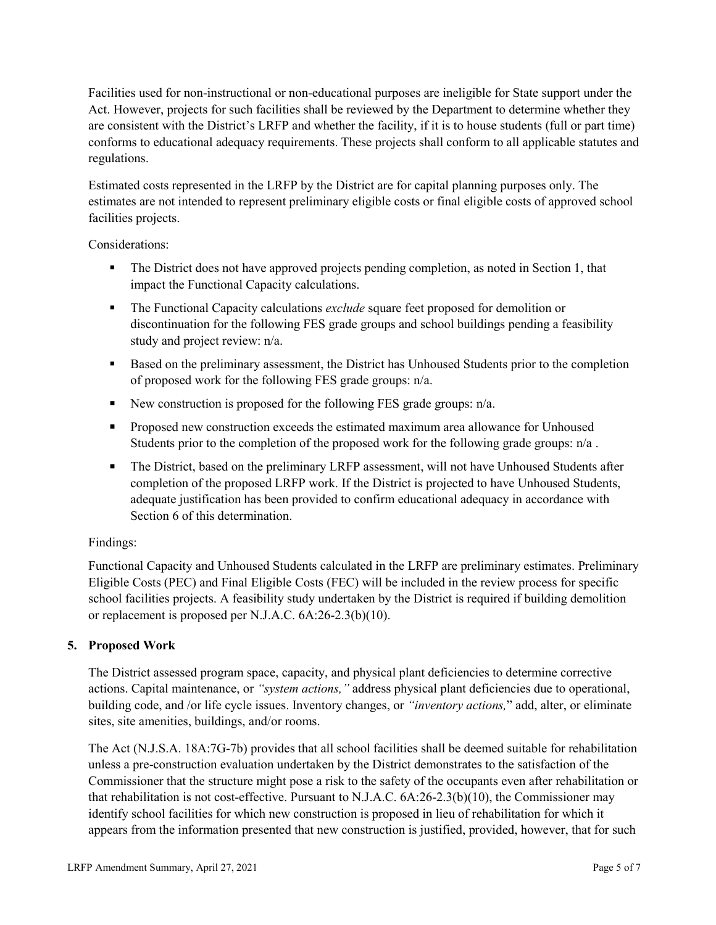Facilities used for non-instructional or non-educational purposes are ineligible for State support under the Act. However, projects for such facilities shall be reviewed by the Department to determine whether they are consistent with the District's LRFP and whether the facility, if it is to house students (full or part time) conforms to educational adequacy requirements. These projects shall conform to all applicable statutes and regulations.

Estimated costs represented in the LRFP by the District are for capital planning purposes only. The estimates are not intended to represent preliminary eligible costs or final eligible costs of approved school facilities projects.

Considerations:

- The District does not have approved projects pending completion, as noted in Section 1, that impact the Functional Capacity calculations.
- **The Functional Capacity calculations** *exclude* square feet proposed for demolition or discontinuation for the following FES grade groups and school buildings pending a feasibility study and project review: n/a.
- Based on the preliminary assessment, the District has Unhoused Students prior to the completion of proposed work for the following FES grade groups: n/a.
- New construction is proposed for the following FES grade groups: n/a.
- Proposed new construction exceeds the estimated maximum area allowance for Unhoused Students prior to the completion of the proposed work for the following grade groups: n/a.
- The District, based on the preliminary LRFP assessment, will not have Unhoused Students after completion of the proposed LRFP work. If the District is projected to have Unhoused Students, adequate justification has been provided to confirm educational adequacy in accordance with Section 6 of this determination.

### Findings:

Functional Capacity and Unhoused Students calculated in the LRFP are preliminary estimates. Preliminary Eligible Costs (PEC) and Final Eligible Costs (FEC) will be included in the review process for specific school facilities projects. A feasibility study undertaken by the District is required if building demolition or replacement is proposed per N.J.A.C. 6A:26-2.3(b)(10).

### **5. Proposed Work**

The District assessed program space, capacity, and physical plant deficiencies to determine corrective actions. Capital maintenance, or *"system actions,"* address physical plant deficiencies due to operational, building code, and /or life cycle issues. Inventory changes, or *"inventory actions,*" add, alter, or eliminate sites, site amenities, buildings, and/or rooms.

The Act (N.J.S.A. 18A:7G-7b) provides that all school facilities shall be deemed suitable for rehabilitation unless a pre-construction evaluation undertaken by the District demonstrates to the satisfaction of the Commissioner that the structure might pose a risk to the safety of the occupants even after rehabilitation or that rehabilitation is not cost-effective. Pursuant to N.J.A.C. 6A:26-2.3(b)(10), the Commissioner may identify school facilities for which new construction is proposed in lieu of rehabilitation for which it appears from the information presented that new construction is justified, provided, however, that for such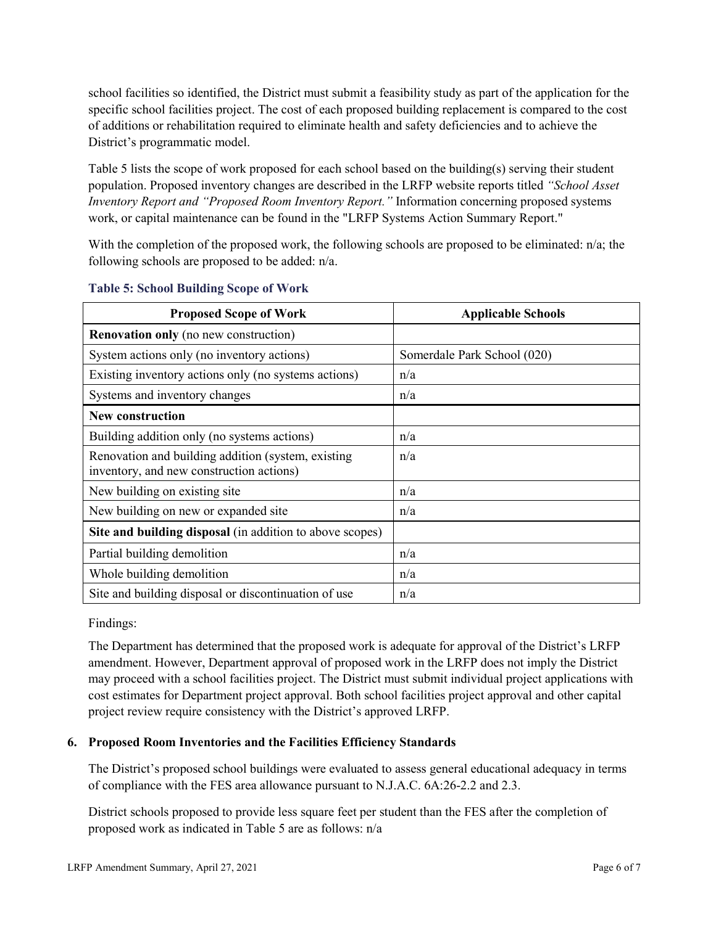school facilities so identified, the District must submit a feasibility study as part of the application for the specific school facilities project. The cost of each proposed building replacement is compared to the cost of additions or rehabilitation required to eliminate health and safety deficiencies and to achieve the District's programmatic model.

Table 5 lists the scope of work proposed for each school based on the building(s) serving their student population. Proposed inventory changes are described in the LRFP website reports titled *"School Asset Inventory Report and "Proposed Room Inventory Report."* Information concerning proposed systems work, or capital maintenance can be found in the "LRFP Systems Action Summary Report."

With the completion of the proposed work, the following schools are proposed to be eliminated: n/a; the following schools are proposed to be added: n/a.

| <b>Proposed Scope of Work</b>                                                                  | <b>Applicable Schools</b>   |
|------------------------------------------------------------------------------------------------|-----------------------------|
| <b>Renovation only</b> (no new construction)                                                   |                             |
| System actions only (no inventory actions)                                                     | Somerdale Park School (020) |
| Existing inventory actions only (no systems actions)                                           | n/a                         |
| Systems and inventory changes                                                                  | n/a                         |
| <b>New construction</b>                                                                        |                             |
| Building addition only (no systems actions)                                                    | n/a                         |
| Renovation and building addition (system, existing<br>inventory, and new construction actions) | n/a                         |
| New building on existing site                                                                  | n/a                         |
| New building on new or expanded site                                                           | n/a                         |
| Site and building disposal (in addition to above scopes)                                       |                             |
| Partial building demolition                                                                    | n/a                         |
| Whole building demolition                                                                      | n/a                         |
| Site and building disposal or discontinuation of use                                           | n/a                         |

#### **Table 5: School Building Scope of Work**

Findings:

The Department has determined that the proposed work is adequate for approval of the District's LRFP amendment. However, Department approval of proposed work in the LRFP does not imply the District may proceed with a school facilities project. The District must submit individual project applications with cost estimates for Department project approval. Both school facilities project approval and other capital project review require consistency with the District's approved LRFP.

### **6. Proposed Room Inventories and the Facilities Efficiency Standards**

The District's proposed school buildings were evaluated to assess general educational adequacy in terms of compliance with the FES area allowance pursuant to N.J.A.C. 6A:26-2.2 and 2.3.

District schools proposed to provide less square feet per student than the FES after the completion of proposed work as indicated in Table 5 are as follows: n/a